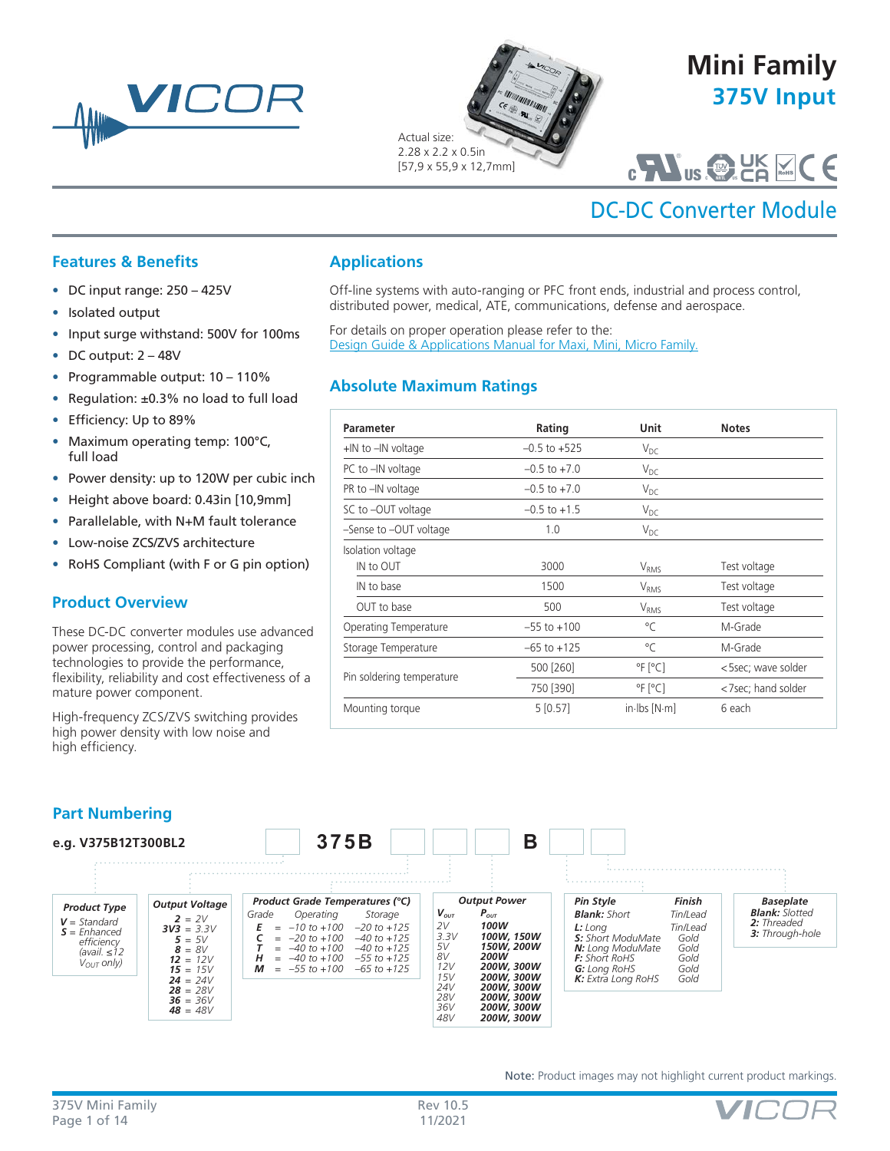



# **375V Input Mini Family**

## C US **C U NRTL <sup>S</sup>** ®

# DC-DC Converter Module

## **Features & Benefits**

- DC input range: 250 425V
- Isolated output
- Input surge withstand: 500V for 100ms
- DC output: 2 48V
- Programmable output: 10 110%
- Regulation: ±0.3% no load to full load
- Efficiency: Up to 89%
- Maximum operating temp: 100°C, full load
- Power density: up to 120W per cubic inch
- Height above board: 0.43in [10,9mm]
- Parallelable, with N+M fault tolerance
- Low-noise ZCS/ZVS architecture
- RoHS Compliant (with F or G pin option)

## **Product Overview**

These DC-DC converter modules use advanced power processing, control and packaging technologies to provide the performance, flexibility, reliability and cost effectiveness of a mature power component.

High-frequency ZCS/ZVS switching provides high power density with low noise and high efficiency.

## **Applications**

Off-line systems with auto-ranging or PFC front ends, industrial and process control, distributed power, medical, ATE, communications, defense and aerospace.

For details on proper operation please refer to the: [Design Guide & Applications Manual for Maxi, Mini, Micro Family.](http://www.vicorpower.com/documents/applications_manual/fas_trak_apps_manual.pdf)

## **Absolute Maximum Ratings**

| <b>Parameter</b>          | Rating           | Unit                              | <b>Notes</b>       |
|---------------------------|------------------|-----------------------------------|--------------------|
| $+$ IN to $-$ IN voltage  | $-0.5$ to $+525$ | $V_{DC}$                          |                    |
| PC to -IN voltage         | $-0.5$ to $+7.0$ | $V_{DC}$                          |                    |
| PR to -IN voltage         | $-0.5$ to $+7.0$ | $V_{DC}$                          |                    |
| SC to -OUT voltage        | $-0.5$ to $+1.5$ | $V_{DC}$                          |                    |
| -Sense to -OUT voltage    | 1.0              | $V_{DC}$                          |                    |
| Isolation voltage         |                  |                                   |                    |
| IN to OUT                 | 3000             | V <sub>RMS</sub>                  | Test voltage       |
| IN to base                | 1500             | <b>V</b> <sub>RMS</sub>           | Test voltage       |
| OUT to base               | 500              | V <sub>RMS</sub>                  | Test voltage       |
| Operating Temperature     | $-55$ to $+100$  | °C                                | M-Grade            |
| Storage Temperature       | $-65$ to $+125$  | °C                                | M-Grade            |
|                           | 500 [260]        | $^{\circ}$ F [ $^{\circ}$ C]      | <5sec; wave solder |
| Pin soldering temperature | 750 [390]        | $\degree$ F $\degree$ C $\degree$ | <7sec; hand solder |
| Mounting torque           | 5[0.57]          | $in$ lbs $[N \cdot m]$            | 6 each             |



Note: Product images may not highlight current product markings.

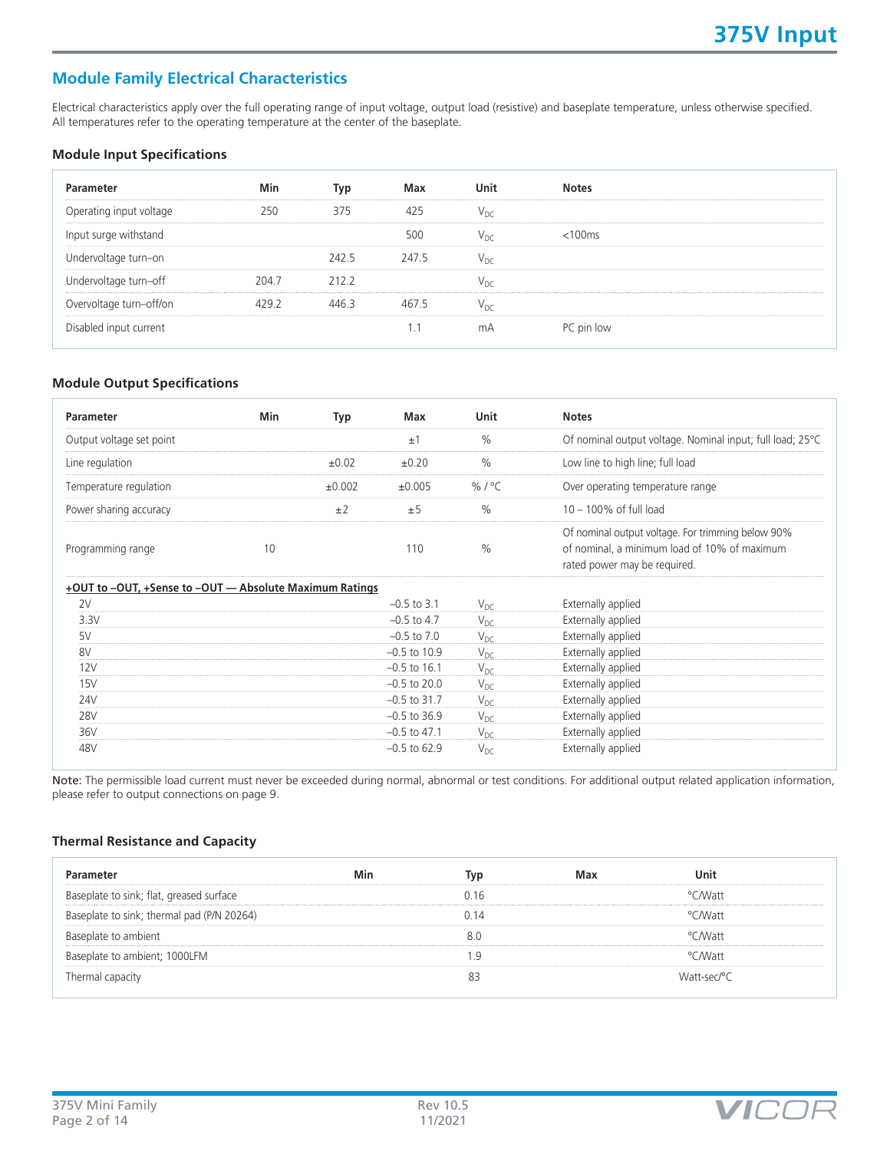## **Module Family Electrical Characteristics**

Electrical characteristics apply over the full operating range of input voltage, output load (resistive) and baseplate temperature, unless otherwise specified. All temperatures refer to the operating temperature at the center of the baseplate.

#### **Module Input Specifications**

| Parameter               | Min  | Typ   | Max   | Unit | <b>Notes</b> |  |
|-------------------------|------|-------|-------|------|--------------|--|
| Operating input voltage | 250  | 375   | 425   |      |              |  |
| Input surge withstand   |      |       | 500   |      | $<$ 100 $ms$ |  |
| Undervoltage turn-on    |      | 242.5 | 247.5 | Vnr  |              |  |
| Undervoltage turn-off   | 2047 | 2122  |       |      |              |  |
| Overvoltage turn-off/on |      |       |       |      |              |  |
| Disabled input current  |      |       |       | mΑ   | PC pin low   |  |

#### **Module Output Specifications**

| <b>Parameter</b>                                        | Min | Typ    | Max             | Unit          | <b>Notes</b>                                                                                                                      |
|---------------------------------------------------------|-----|--------|-----------------|---------------|-----------------------------------------------------------------------------------------------------------------------------------|
| Output voltage set point                                |     |        | ±1              | $\frac{0}{0}$ | Of nominal output voltage. Nominal input; full load; 25°C                                                                         |
| Line regulation                                         |     | ±0.02  | ±0.20           | $\frac{0}{0}$ | Low line to high line; full load                                                                                                  |
| Temperature regulation                                  |     | ±0.002 | ±0.005          | %/ $°C$       | Over operating temperature range                                                                                                  |
| Power sharing accuracy                                  |     | ±2     | ±5              | $\frac{0}{0}$ | $10 - 100\%$ of full load                                                                                                         |
| Programming range                                       | 10  |        | 110             | $\frac{0}{0}$ | Of nominal output voltage. For trimming below 90%<br>of nominal, a minimum load of 10% of maximum<br>rated power may be required. |
| +OUT to -OUT, +Sense to -OUT - Absolute Maximum Ratings |     |        |                 |               |                                                                                                                                   |
| 2V                                                      |     |        | $-0.5$ to 3.1   | $V_{DC}$      | Externally applied                                                                                                                |
| 3.3V                                                    |     |        | $-0.5$ to 4.7   | $V_{DC}$      | Externally applied                                                                                                                |
| 5V                                                      |     |        | $-0.5$ to $7.0$ | $V_{DC}$      | Externally applied                                                                                                                |
| 8V                                                      |     |        | $-0.5$ to 10.9  | $V_{DC}$      | Externally applied                                                                                                                |
| 12V                                                     |     |        | $-0.5$ to 16.1  | $V_{DC}$      | Externally applied                                                                                                                |
| 15V                                                     |     |        | $-0.5$ to 20.0  | $V_{DC}$      | Externally applied                                                                                                                |
| 24V                                                     |     |        | $-0.5$ to 31.7  | $V_{DC}$      | Externally applied                                                                                                                |
| <b>28V</b>                                              |     |        | $-0.5$ to 36.9  | $V_{DC}$      | Externally applied                                                                                                                |
| 36V                                                     |     |        | $-0.5$ to 47.1  | $V_{DC}$      | Externally applied                                                                                                                |
| 48V                                                     |     |        | $-0.5$ to 62.9  | $V_{DC}$      | Externally applied                                                                                                                |

Note: The permissible load current must never be exceeded during normal, abnormal or test conditions. For additional output related application information, please refer to output connections on page 9.

### **Thermal Resistance and Capacity**

| Parameter                                  | Min | Tvo  | Max | Unit        |  |
|--------------------------------------------|-----|------|-----|-------------|--|
| Baseplate to sink; flat, greased surface   |     | Ი 16 |     | °C∕Watt     |  |
| Baseplate to sink; thermal pad (P/N 20264) |     | N 14 |     | °C∕Watt     |  |
| Baseplate to ambient                       |     | 8 C  |     | °CMVatt     |  |
| Baseplate to ambient; 1000LFM              |     |      |     | °CMVatt     |  |
| Thermal capacity                           |     |      |     | Watt-sec/°C |  |

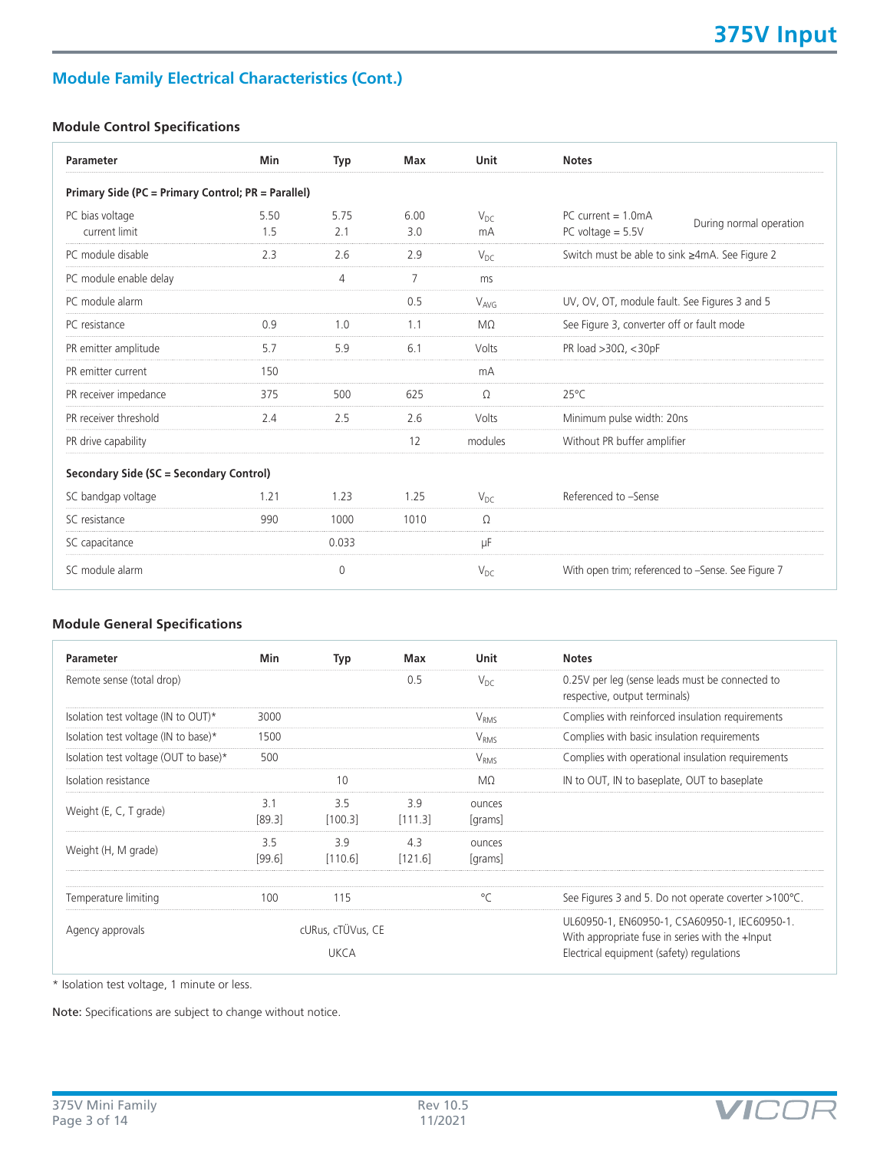## **Module Family Electrical Characteristics (Cont.)**

## **Module Control Specifications**

| Parameter                                          | Min         | Typ         | Max            | Unit           | <b>Notes</b>                                                                   |
|----------------------------------------------------|-------------|-------------|----------------|----------------|--------------------------------------------------------------------------------|
| Primary Side (PC = Primary Control; PR = Parallel) |             |             |                |                |                                                                                |
| PC bias voltage<br>current limit                   | 5.50<br>1.5 | 5.75<br>2.1 | 6.00<br>3.0    | $V_{DC}$<br>mA | PC current $= 1.0 \text{mA}$<br>During normal operation<br>PC voltage $= 5.5V$ |
| PC module disable                                  | 2.3         | 2.6         | 2.9            | $V_{DC}$       | Switch must be able to sink ≥4mA. See Figure 2                                 |
| PC module enable delay                             |             | 4           | $\overline{7}$ | ms             |                                                                                |
| PC module alarm                                    |             |             | 0.5            | $V_{AVG}$      | UV, OV, OT, module fault. See Figures 3 and 5                                  |
| PC resistance                                      | 0.9         | 1.0         | 1.1            | $M\Omega$      | See Figure 3, converter off or fault mode                                      |
| PR emitter amplitude                               | 5.7         | 5.9         | 6.1            | Volts          | PR load $>30\Omega$ , < 30pF                                                   |
| PR emitter current                                 | 150         |             |                | mA             |                                                                                |
| PR receiver impedance                              | 375         | 500         | 625            | Ω              | $25^{\circ}$ C                                                                 |
| PR receiver threshold                              | 2.4         | 2.5         | 2.6            | Volts          | Minimum pulse width: 20ns                                                      |
| PR drive capability                                |             |             | 12             | modules        | Without PR buffer amplifier                                                    |
| Secondary Side (SC = Secondary Control)            |             |             |                |                |                                                                                |
| SC bandgap voltage                                 | 1.21        | 1.23        | 1.25           | $V_{DC}$       | Referenced to -Sense                                                           |
| SC resistance                                      | 990         | 1000        | 1010           | $\Omega$       |                                                                                |
| SC capacitance                                     |             | 0.033       |                | μF             |                                                                                |
| SC module alarm                                    |             | $\mathbf 0$ |                | $V_{DC}$       | With open trim; referenced to -Sense. See Figure 7                             |

## **Module General Specifications**

| Parameter                             | Min           | Typ                              | Max            | Unit              | <b>Notes</b>                                                                                                                                  |
|---------------------------------------|---------------|----------------------------------|----------------|-------------------|-----------------------------------------------------------------------------------------------------------------------------------------------|
| Remote sense (total drop)             |               |                                  | 0.5            | $V_{DC}$          | 0.25V per leg (sense leads must be connected to<br>respective, output terminals)                                                              |
| Isolation test voltage (IN to OUT)*   | 3000          |                                  |                | V <sub>RMS</sub>  | Complies with reinforced insulation requirements                                                                                              |
| Isolation test voltage (IN to base)*  | 1500          |                                  |                | V <sub>RMS</sub>  | Complies with basic insulation requirements                                                                                                   |
| Isolation test voltage (OUT to base)* | 500           |                                  |                | $V_{RMS}$         | Complies with operational insulation requirements                                                                                             |
| Isolation resistance                  |               | 10                               |                | MΩ                | IN to OUT, IN to baseplate, OUT to baseplate                                                                                                  |
| Weight (E, C, T grade)                | 3.1<br>[89.3] | 3.5<br>[100.3]                   | 3.9<br>[111.3] | ounces<br>[grams] |                                                                                                                                               |
| Weight (H, M grade)                   | 3.5<br>[99.6] | 3.9<br>[110.6]                   | 4.3<br>[121.6] | ounces<br>[grams] |                                                                                                                                               |
| Temperature limiting                  | 100           | 115                              |                | $^{\circ}$ C      | See Figures 3 and 5. Do not operate coverter >100°C.                                                                                          |
| Agency approvals                      |               | cURus, cTÜVus, CE<br><b>UKCA</b> |                |                   | UL60950-1, EN60950-1, CSA60950-1, IEC60950-1.<br>With appropriate fuse in series with the +Input<br>Electrical equipment (safety) regulations |

\* Isolation test voltage, 1 minute or less.

Note: Specifications are subject to change without notice.

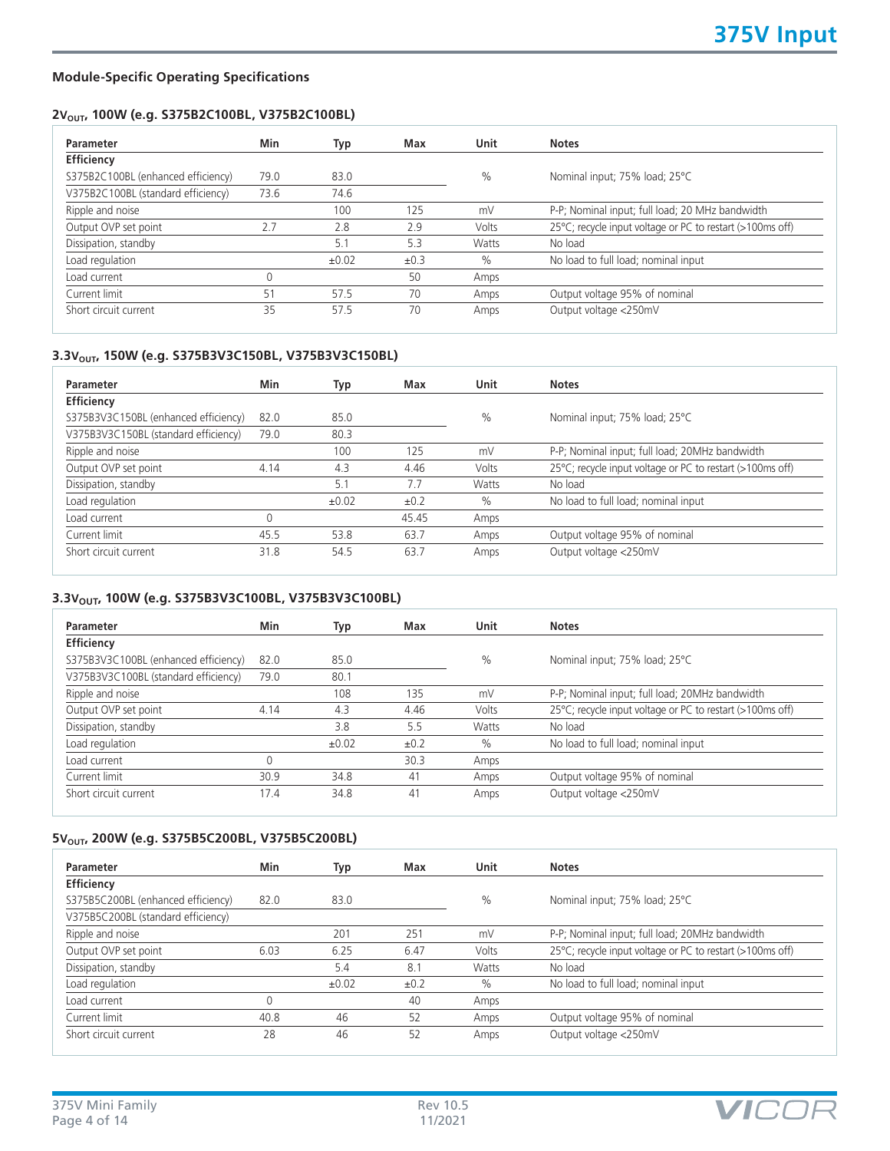## 2V<sub>OUT</sub>, 100W (e.g. S375B2C100BL, V375B2C100BL)

| Parameter                          | Min  | Typ   | Max  | Unit  | <b>Notes</b>                                              |
|------------------------------------|------|-------|------|-------|-----------------------------------------------------------|
| Efficiency                         |      |       |      |       |                                                           |
| S375B2C100BL (enhanced efficiency) | 79.0 | 83.0  |      | $\%$  | Nominal input; 75% load; 25°C                             |
| V375B2C100BL (standard efficiency) | 73.6 | 74.6  |      |       |                                                           |
| Ripple and noise                   |      | 100   | 125  | mV    | P-P; Nominal input; full load; 20 MHz bandwidth           |
| Output OVP set point               | 2.7  | 2.8   | 2.9  | Volts | 25°C; recycle input voltage or PC to restart (>100ms off) |
| Dissipation, standby               |      | 5.1   | 5.3  | Watts | No load                                                   |
| Load regulation                    |      | ±0.02 | ±0.3 | $\%$  | No load to full load; nominal input                       |
| Load current                       | U    |       | 50   | Amps  |                                                           |
| Current limit                      | 51   | 57.5  | 70   | Amps  | Output voltage 95% of nominal                             |
| Short circuit current              | 35   | 57.5  | 70   | Amps  | Output voltage <250mV                                     |

## 3.3V<sub>OUT</sub>, 150W (e.g. S375B3V3C150BL, V375B3V3C150BL)

|                                              | Typ   | Max   | <b>Unit</b> | <b>Notes</b>                                              |
|----------------------------------------------|-------|-------|-------------|-----------------------------------------------------------|
|                                              |       |       |             |                                                           |
| S375B3V3C150BL (enhanced efficiency)<br>82.0 | 85.0  |       | $\%$        | Nominal input; 75% load; 25°C                             |
| 79.0                                         | 80.3  |       |             |                                                           |
|                                              | 100   | 125   | mV          | P-P; Nominal input; full load; 20MHz bandwidth            |
| 4.14                                         | 4.3   | 4.46  | Volts       | 25°C; recycle input voltage or PC to restart (>100ms off) |
|                                              | 5.1   | 7.7   | Watts       | No load                                                   |
|                                              | ±0.02 | ±0.2  | $\%$        | No load to full load; nominal input                       |
| 0                                            |       | 45.45 | Amps        |                                                           |
| 45.5                                         | 53.8  | 63.7  | Amps        | Output voltage 95% of nominal                             |
| 31.8                                         | 54.5  | 63.7  | Amps        | Output voltage <250mV                                     |
|                                              |       |       |             |                                                           |

## 3.3V<sub>OUT</sub>, 100W (e.g. S375B3V3C100BL, V375B3V3C100BL)

| Parameter                            | Min  | Typ        | Max  | Unit          | <b>Notes</b>                                              |
|--------------------------------------|------|------------|------|---------------|-----------------------------------------------------------|
| Efficiency                           |      |            |      |               |                                                           |
| S375B3V3C100BL (enhanced efficiency) | 82.0 | 85.0       |      | $\%$          | Nominal input; 75% load; 25°C                             |
| V375B3V3C100BL (standard efficiency) | 79.0 | 80.1       |      |               |                                                           |
| Ripple and noise                     |      | 108        | 135  | mV            | P-P; Nominal input; full load; 20MHz bandwidth            |
| Output OVP set point                 | 4.14 | 4.3        | 4.46 | Volts         | 25°C; recycle input voltage or PC to restart (>100ms off) |
| Dissipation, standby                 |      | 3.8        | 5.5  | Watts         | No load                                                   |
| Load regulation                      |      | $\pm 0.02$ | ±0.2 | $\frac{0}{0}$ | No load to full load; nominal input                       |
| Load current                         | U    |            | 30.3 | Amps          |                                                           |
| Current limit                        | 30.9 | 34.8       | 41   | Amps          | Output voltage 95% of nominal                             |
| Short circuit current                | 17.4 | 34.8       | 41   | Amps          | Output voltage <250mV                                     |

### 5V<sub>OUT</sub>, 200W (e.g. S375B5C200BL, V375B5C200BL)

| Parameter                          | Min  | Typ   | Max  | Unit  | <b>Notes</b>                                              |
|------------------------------------|------|-------|------|-------|-----------------------------------------------------------|
| Efficiency                         |      |       |      |       |                                                           |
| S375B5C200BL (enhanced efficiency) | 82.0 | 83.0  |      | $\%$  | Nominal input; 75% load; 25°C                             |
| V375B5C200BL (standard efficiency) |      |       |      |       |                                                           |
| Ripple and noise                   |      | 201   | 251  | mV    | P-P; Nominal input; full load; 20MHz bandwidth            |
| Output OVP set point               | 6.03 | 6.25  | 6.47 | Volts | 25°C; recycle input voltage or PC to restart (>100ms off) |
| Dissipation, standby               |      | 5.4   | 8.1  | Watts | No load                                                   |
| Load regulation                    |      | ±0.02 | ±0.2 | $\%$  | No load to full load; nominal input                       |
| Load current                       | 0    |       | 40   | Amps  |                                                           |
| Current limit                      | 40.8 | 46    | 52   | Amps  | Output voltage 95% of nominal                             |
| Short circuit current              | 28   | 46    | 52   | Amps  | Output voltage <250mV                                     |

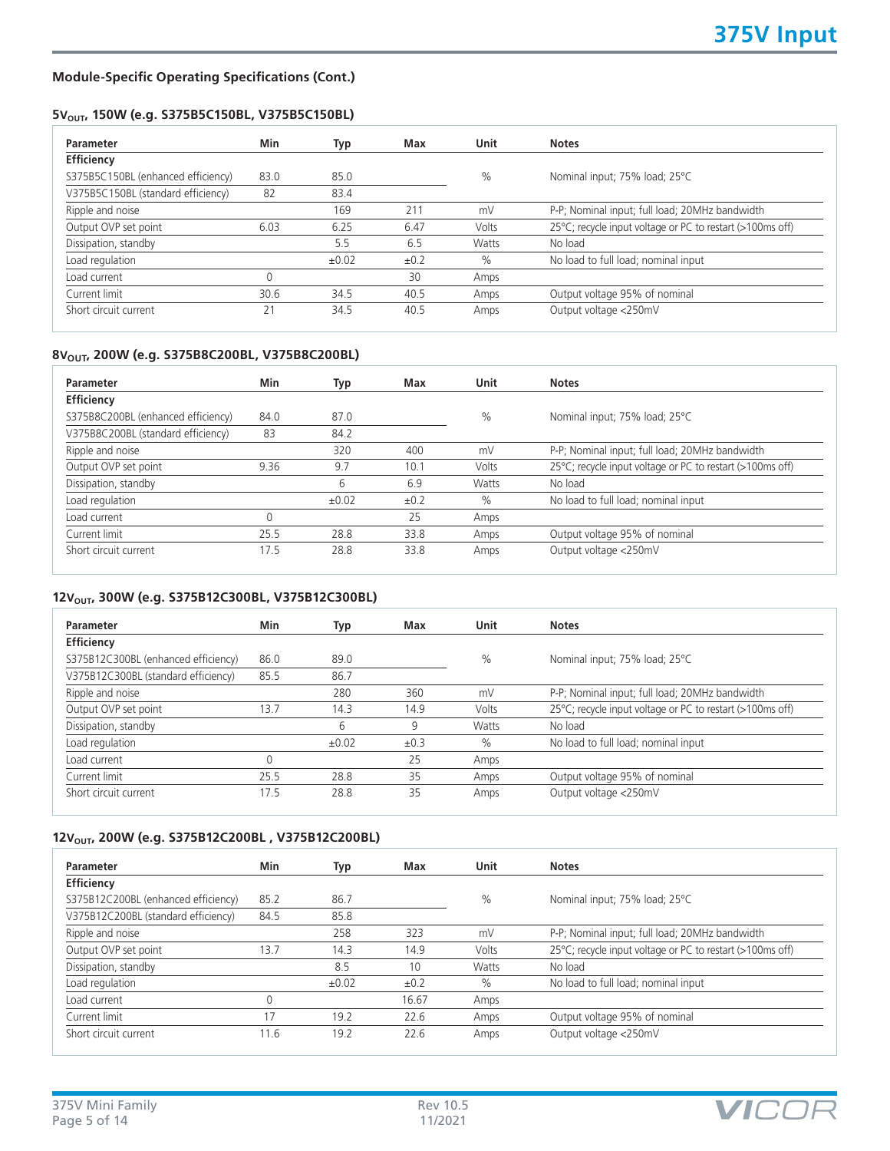## 5V<sub>OUT</sub>, 150W (e.g. S375B5C150BL, V375B5C150BL)

| Parameter                          | Min  | Typ        | Max  | <b>Unit</b> | <b>Notes</b>                                              |
|------------------------------------|------|------------|------|-------------|-----------------------------------------------------------|
| Efficiency                         |      |            |      |             |                                                           |
| S375B5C150BL (enhanced efficiency) | 83.0 | 85.0       |      | $\%$        | Nominal input; 75% load; 25°C                             |
| V375B5C150BL (standard efficiency) | 82   | 83.4       |      |             |                                                           |
| Ripple and noise                   |      | 169        | 211  | mV          | P-P; Nominal input; full load; 20MHz bandwidth            |
| Output OVP set point               | 6.03 | 6.25       | 6.47 | Volts       | 25°C; recycle input voltage or PC to restart (>100ms off) |
| Dissipation, standby               |      | 5.5        | 6.5  | Watts       | No load                                                   |
| Load regulation                    |      | $\pm 0.02$ | ±0.2 | $\%$        | No load to full load; nominal input                       |
| Load current                       | 0    |            | 30   | Amps        |                                                           |
| Current limit                      | 30.6 | 34.5       | 40.5 | Amps        | Output voltage 95% of nominal                             |
| Short circuit current              | 21   | 34.5       | 40.5 | Amps        | Output voltage <250mV                                     |

### 8V<sub>OUT</sub>, 200W (e.g. S375B8C200BL, V375B8C200BL)

| Parameter                          | Min  | Typ        | Max  | <b>Unit</b> | <b>Notes</b>                                              |
|------------------------------------|------|------------|------|-------------|-----------------------------------------------------------|
| Efficiency                         |      |            |      |             |                                                           |
| S375B8C200BL (enhanced efficiency) | 84.0 | 87.0       |      | $\%$        | Nominal input; 75% load; 25°C                             |
| V375B8C200BL (standard efficiency) | 83   | 84.2       |      |             |                                                           |
| Ripple and noise                   |      | 320        | 400  | mV          | P-P; Nominal input; full load; 20MHz bandwidth            |
| Output OVP set point               | 9.36 | 9.7        | 10.1 | Volts       | 25°C; recycle input voltage or PC to restart (>100ms off) |
| Dissipation, standby               |      | 6          | 6.9  | Watts       | No load                                                   |
| Load regulation                    |      | $\pm 0.02$ | ±0.2 | $\%$        | No load to full load; nominal input                       |
| Load current                       |      |            | 25   | Amps        |                                                           |
| Current limit                      | 25.5 | 28.8       | 33.8 | Amps        | Output voltage 95% of nominal                             |
| Short circuit current              | 17.5 | 28.8       | 33.8 | Amps        | Output voltage <250mV                                     |

## 12V<sub>OUT</sub>, 300W (e.g. S375B12C300BL, V375B12C300BL)

| Parameter                           | Min  | Typ        | Max  | <b>Unit</b> | <b>Notes</b>                                              |
|-------------------------------------|------|------------|------|-------------|-----------------------------------------------------------|
| Efficiency                          |      |            |      |             |                                                           |
| S375B12C300BL (enhanced efficiency) | 86.0 | 89.0       |      | $\%$        | Nominal input; 75% load; 25°C                             |
| V375B12C300BL (standard efficiency) | 85.5 | 86.7       |      |             |                                                           |
| Ripple and noise                    |      | 280        | 360  | mV          | P-P; Nominal input; full load; 20MHz bandwidth            |
| Output OVP set point                | 13.7 | 14.3       | 14.9 | Volts       | 25°C; recycle input voltage or PC to restart (>100ms off) |
| Dissipation, standby                |      | 6          | 9    | Watts       | No load                                                   |
| Load regulation                     |      | $\pm 0.02$ | ±0.3 | $\%$        | No load to full load; nominal input                       |
| Load current                        |      |            | 25   | Amps        |                                                           |
| Current limit                       | 25.5 | 28.8       | 35   | Amps        | Output voltage 95% of nominal                             |
| Short circuit current               | 17.5 | 28.8       | 35   | Amps        | Output voltage <250mV                                     |

## 12V<sub>OUT</sub>, 200W (e.g. S375B12C200BL, V375B12C200BL)

|      |       |       |       | <b>Notes</b>                                              |
|------|-------|-------|-------|-----------------------------------------------------------|
|      |       |       |       |                                                           |
| 85.2 | 86.7  |       | $\%$  | Nominal input; 75% load; 25°C                             |
| 84.5 | 85.8  |       |       |                                                           |
|      | 258   | 323   | mV    | P-P; Nominal input; full load; 20MHz bandwidth            |
| 13.7 | 14.3  | 14.9  | Volts | 25°C; recycle input voltage or PC to restart (>100ms off) |
|      | 8.5   | 10    | Watts | No load                                                   |
|      | ±0.02 | ±0.2  | $\%$  | No load to full load; nominal input                       |
| 0    |       | 16.67 | Amps  |                                                           |
| 17   | 19.2  | 22.6  | Amps  | Output voltage 95% of nominal                             |
| 11.6 | 19.2  | 22.6  | Amps  | Output voltage <250mV                                     |
|      |       |       |       |                                                           |

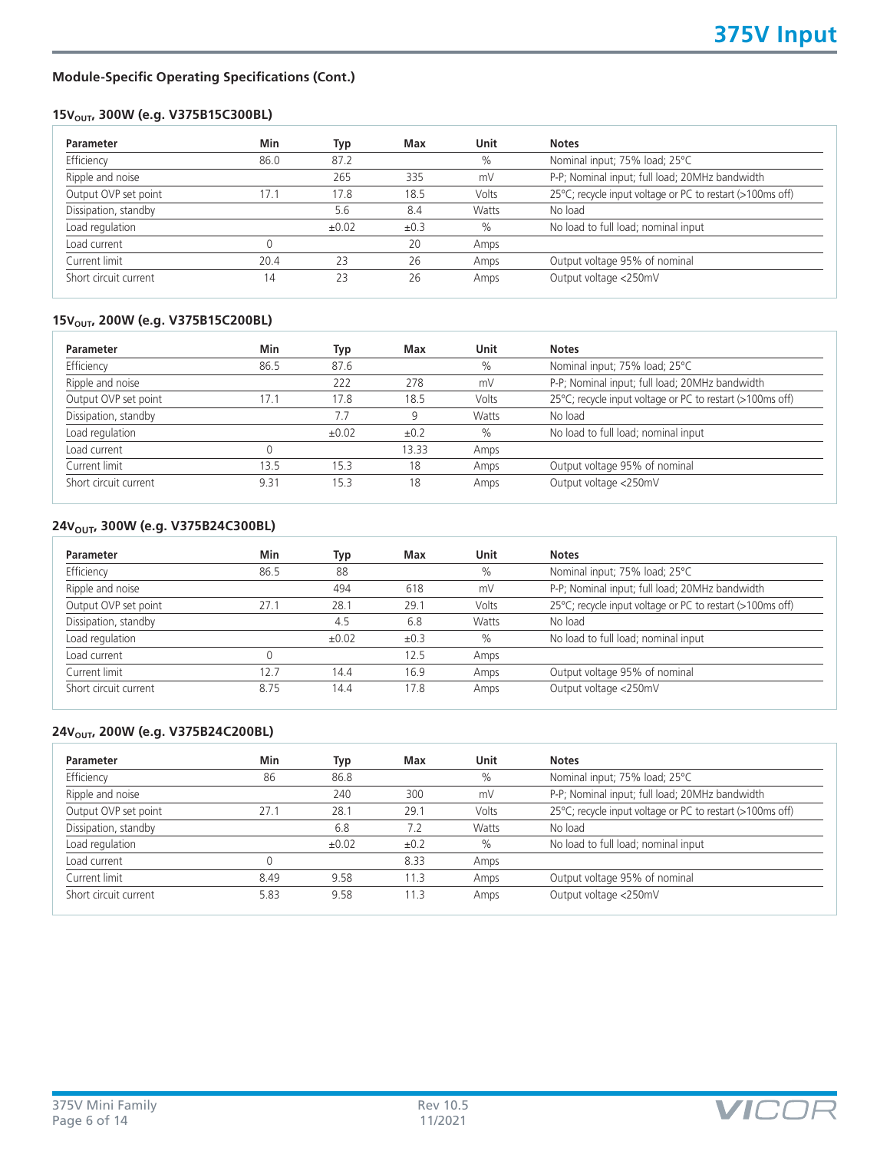## 15V<sub>OUT</sub>, 300W (e.g. V375B15C300BL)

| Min  | Typ        | Max  | Unit  | <b>Notes</b>                                              |
|------|------------|------|-------|-----------------------------------------------------------|
| 86.0 | 87.2       |      | $\%$  | Nominal input; 75% load; 25°C                             |
|      | 265        | 335  | mV    | P-P; Nominal input; full load; 20MHz bandwidth            |
| 17.1 | 17.8       | 18.5 | Volts | 25°C; recycle input voltage or PC to restart (>100ms off) |
|      | 5.6        | 8.4  | Watts | No load                                                   |
|      | $\pm 0.02$ | ±0.3 | $\%$  | No load to full load; nominal input                       |
|      |            | 20   | Amps  |                                                           |
| 20.4 | 23         | 26   | Amps  | Output voltage 95% of nominal                             |
| 14   | 23         | 26   | Amps  | Output voltage <250mV                                     |
|      |            |      |       |                                                           |

## 15V<sub>OUT</sub>, 200W (e.g. V375B15C200BL)

| Min  | Typ   | Max       | Unit  | <b>Notes</b>                                              |
|------|-------|-----------|-------|-----------------------------------------------------------|
| 86.5 | 87.6  |           | $\%$  | Nominal input; 75% load; 25°C                             |
|      | 222   | 278       | mV    | P-P; Nominal input; full load; 20MHz bandwidth            |
| 17.1 | 17.8  | 18.5      | Volts | 25°C; recycle input voltage or PC to restart (>100ms off) |
|      | 7.7   | 9         | Watts | No load                                                   |
|      | ±0.02 | $\pm 0.2$ | $\%$  | No load to full load; nominal input                       |
|      |       | 13.33     | Amps  |                                                           |
| 13.5 | 15.3  | 18        | Amps  | Output voltage 95% of nominal                             |
| 9.31 | 15.3  | 18        | Amps  | Output voltage <250mV                                     |
|      |       |           |       |                                                           |

## 24V<sub>OUT</sub>, 300W (e.g. V375B24C300BL)

|      |       | Max  | Unit  | <b>Notes</b>                                              |
|------|-------|------|-------|-----------------------------------------------------------|
| 86.5 | 88    |      | $\%$  | Nominal input; 75% load; 25°C                             |
|      | 494   | 618  | mV    | P-P; Nominal input; full load; 20MHz bandwidth            |
| 27.1 | 28.1  | 29.1 | Volts | 25°C; recycle input voltage or PC to restart (>100ms off) |
|      | 4.5   | 6.8  | Watts | No load                                                   |
|      | ±0.02 | ±0.3 | $\%$  | No load to full load; nominal input                       |
|      |       | 12.5 | Amps  |                                                           |
| 12.7 | 14.4  | 16.9 | Amps  | Output voltage 95% of nominal                             |
| 8.75 | 14.4  | 17.8 | Amps  | Output voltage <250mV                                     |
|      |       |      |       |                                                           |

### **24V<sub>OUT</sub>, 200W (e.g. V375B24C200BL)**

| Parameter             | Min  | Typ   | Max       | Unit  | <b>Notes</b>                                              |
|-----------------------|------|-------|-----------|-------|-----------------------------------------------------------|
| Efficiency            | 86   | 86.8  |           | $\%$  | Nominal input; 75% load; 25°C                             |
| Ripple and noise      |      | 240   | 300       | mV    | P-P; Nominal input; full load; 20MHz bandwidth            |
| Output OVP set point  | 27.1 | 28.1  | 29.1      | Volts | 25°C; recycle input voltage or PC to restart (>100ms off) |
| Dissipation, standby  |      | 6.8   | 7.2       | Watts | No load                                                   |
| Load regulation       |      | ±0.02 | $\pm 0.2$ | $\%$  | No load to full load; nominal input                       |
| Load current          |      |       | 8.33      | Amps  |                                                           |
| Current limit         | 8.49 | 9.58  | 11.3      | Amps  | Output voltage 95% of nominal                             |
| Short circuit current | 5.83 | 9.58  | 11.3      | Amps  | Output voltage <250mV                                     |
|                       |      |       |           |       |                                                           |

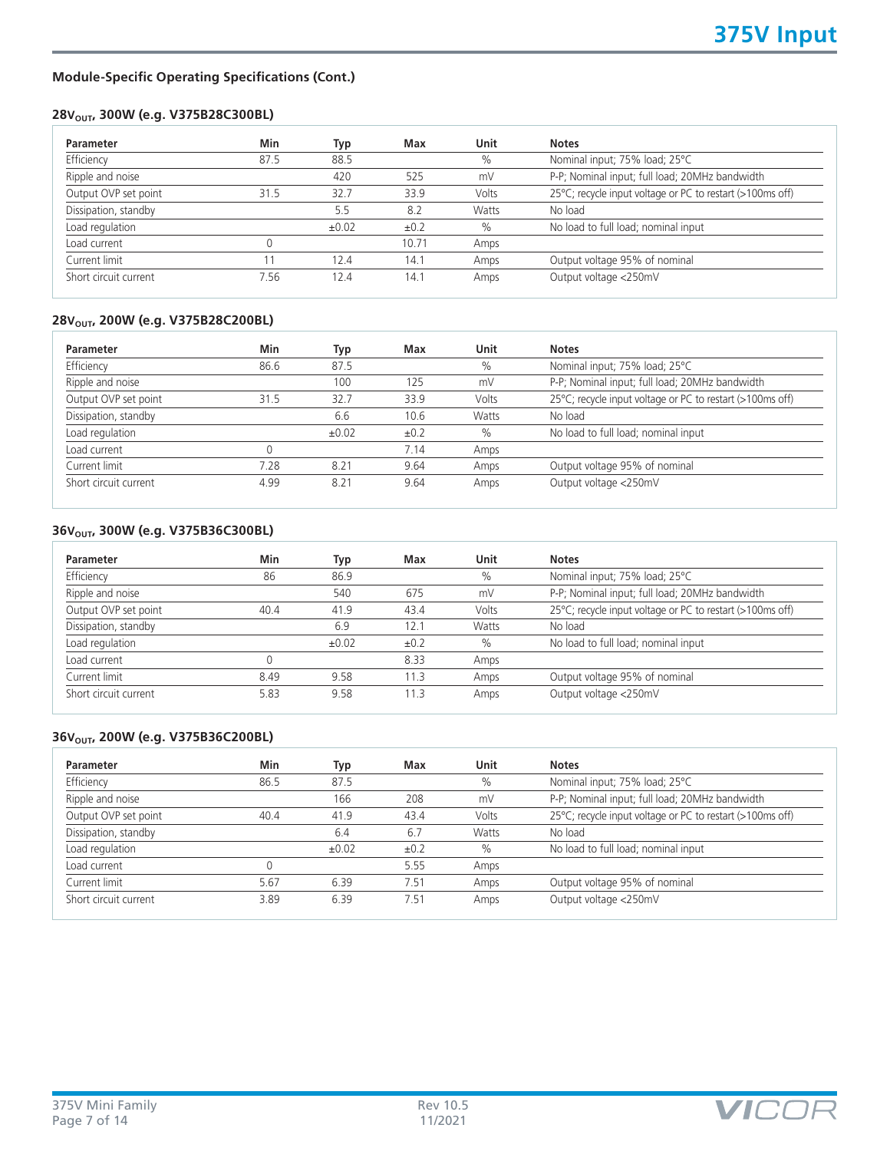## 28V<sub>OUT</sub>, 300W (e.g. V375B28C300BL)

| $\frac{0}{0}$<br>mV<br>Volts<br>Watts | Nominal input; 75% load; 25°C<br>P-P; Nominal input; full load; 20MHz bandwidth<br>25°C; recycle input voltage or PC to restart (>100ms off)<br>No load |
|---------------------------------------|---------------------------------------------------------------------------------------------------------------------------------------------------------|
|                                       |                                                                                                                                                         |
|                                       |                                                                                                                                                         |
|                                       |                                                                                                                                                         |
|                                       |                                                                                                                                                         |
| $\%$                                  | No load to full load; nominal input                                                                                                                     |
| Amps                                  |                                                                                                                                                         |
| Amps                                  | Output voltage 95% of nominal                                                                                                                           |
| Amps                                  | Output voltage <250mV                                                                                                                                   |
|                                       |                                                                                                                                                         |

## 28V<sub>OUT</sub>, 200W (e.g. V375B28C200BL)

| Min  | Typ        | Max  | Unit  | <b>Notes</b>                                              |
|------|------------|------|-------|-----------------------------------------------------------|
| 86.6 | 87.5       |      | $\%$  | Nominal input; 75% load; 25°C                             |
|      | 100        | 125  | mV    | P-P; Nominal input; full load; 20MHz bandwidth            |
| 31.5 | 32.7       | 33.9 | Volts | 25°C; recycle input voltage or PC to restart (>100ms off) |
|      | 6.6        | 10.6 | Watts | No load                                                   |
|      | $\pm 0.02$ | ±0.2 | $\%$  | No load to full load; nominal input                       |
|      |            | 7.14 | Amps  |                                                           |
| 7.28 | 8.21       | 9.64 | Amps  | Output voltage 95% of nominal                             |
| 4.99 | 8.21       | 9.64 | Amps  | Output voltage <250mV                                     |
|      |            |      |       |                                                           |

### 36V<sub>OUT</sub>, 300W (e.g. V375B36C300BL)

| Min  | Typ        | Max       | Unit  | <b>Notes</b>                                              |
|------|------------|-----------|-------|-----------------------------------------------------------|
| 86   | 86.9       |           | $\%$  | Nominal input; 75% load; 25°C                             |
|      | 540        | 675       | mV    | P-P; Nominal input; full load; 20MHz bandwidth            |
| 40.4 | 41.9       | 43.4      | Volts | 25°C; recycle input voltage or PC to restart (>100ms off) |
|      | 6.9        | 12.1      | Watts | No load                                                   |
|      | $\pm 0.02$ | $\pm 0.2$ | $\%$  | No load to full load; nominal input                       |
|      |            | 8.33      | Amps  |                                                           |
| 8.49 | 9.58       | 11.3      | Amps  | Output voltage 95% of nominal                             |
| 5.83 | 9.58       | 11.3      | Amps  | Output voltage <250mV                                     |
|      |            |           |       |                                                           |

## 36V<sub>OUT</sub>, 200W (e.g. V375B36C200BL)

| <b>Parameter</b>      | Min  | Typ   | Max  | Unit  | <b>Notes</b>                                              |
|-----------------------|------|-------|------|-------|-----------------------------------------------------------|
| Efficiency            | 86.5 | 87.5  |      | $\%$  | Nominal input; 75% load; 25°C                             |
| Ripple and noise      |      | 166   | 208  | mV    | P-P; Nominal input; full load; 20MHz bandwidth            |
| Output OVP set point  | 40.4 | 41.9  | 43.4 | Volts | 25°C; recycle input voltage or PC to restart (>100ms off) |
| Dissipation, standby  |      | 6.4   | 6.7  | Watts | No load                                                   |
| Load regulation       |      | ±0.02 | ±0.2 | $\%$  | No load to full load; nominal input                       |
| Load current          |      |       | 5.55 | Amps  |                                                           |
| Current limit         | 5.67 | 6.39  | 7.51 | Amps  | Output voltage 95% of nominal                             |
| Short circuit current | 3.89 | 6.39  | 7.51 | Amps  | Output voltage <250mV                                     |

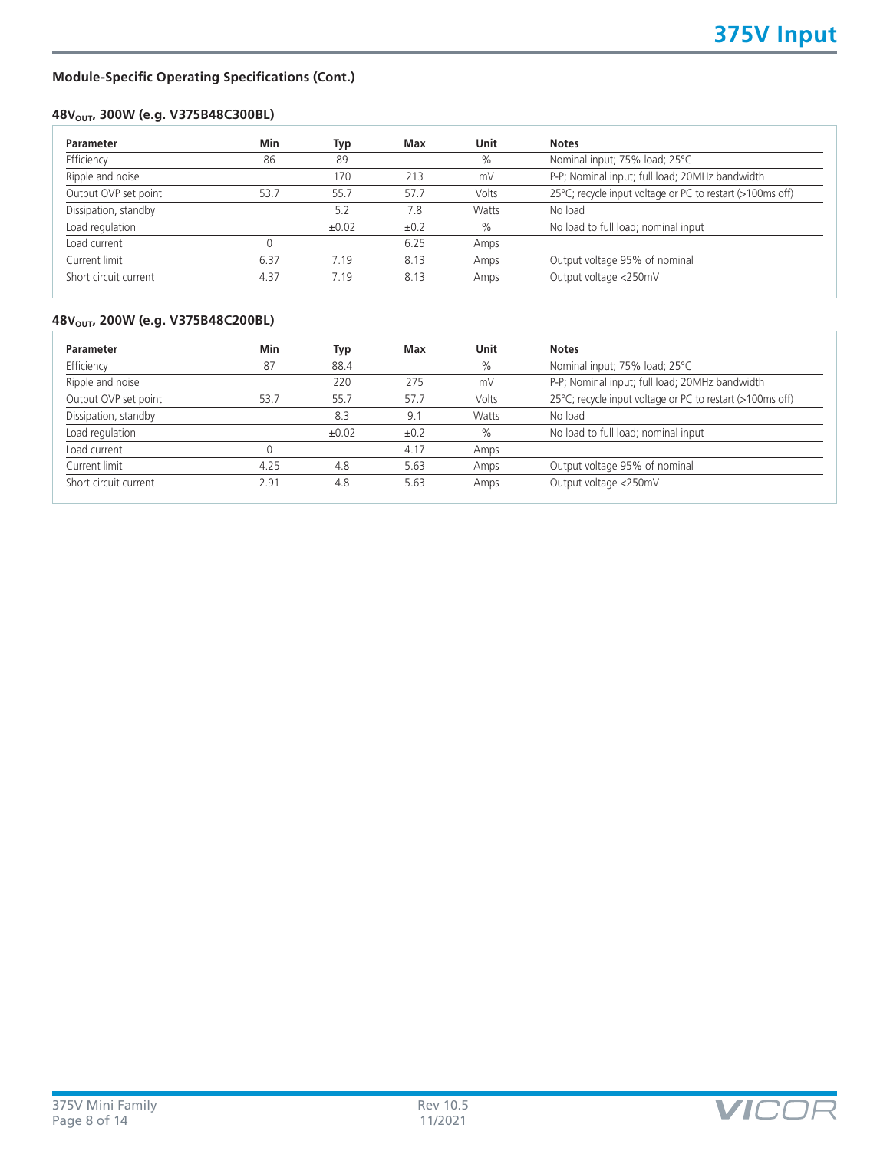## **48VOUT, 300W (e.g. V375B48C300BL)**

| Min  | Typ        | Max  | Unit  | <b>Notes</b>                                              |
|------|------------|------|-------|-----------------------------------------------------------|
| 86   | 89         |      | $\%$  | Nominal input; 75% load; 25°C                             |
|      | 170        | 213  | mV    | P-P; Nominal input; full load; 20MHz bandwidth            |
| 53.7 | 55.7       | 57.7 | Volts | 25°C; recycle input voltage or PC to restart (>100ms off) |
|      | 5.2        | 7.8  | Watts | No load                                                   |
|      | $\pm 0.02$ | ±0.2 | $\%$  | No load to full load; nominal input                       |
|      |            | 6.25 | Amps  |                                                           |
| 6.37 | 7.19       | 8.13 | Amps  | Output voltage 95% of nominal                             |
| 4.37 | 7.19       | 8.13 | Amps  | Output voltage <250mV                                     |
|      |            |      |       |                                                           |

## **48V<sub>OUT</sub>, 200W (e.g. V375B48C200BL)**

| Min  | Typ        | Max  | Unit  | <b>Notes</b>                                              |
|------|------------|------|-------|-----------------------------------------------------------|
| 87   | 88.4       |      | $\%$  | Nominal input; 75% load; 25°C                             |
|      | 220        | 275  | mV    | P-P; Nominal input; full load; 20MHz bandwidth            |
| 53.7 | 55.7       | 57.7 | Volts | 25°C; recycle input voltage or PC to restart (>100ms off) |
|      | 8.3        | 9.1  | Watts | No load                                                   |
|      | $\pm 0.02$ | ±0.2 | $\%$  | No load to full load; nominal input                       |
|      |            | 4.17 | Amps  |                                                           |
| 4.25 | 4.8        | 5.63 | Amps  | Output voltage 95% of nominal                             |
| 2.91 | 4.8        | 5.63 | Amps  | Output voltage <250mV                                     |
|      |            |      |       |                                                           |

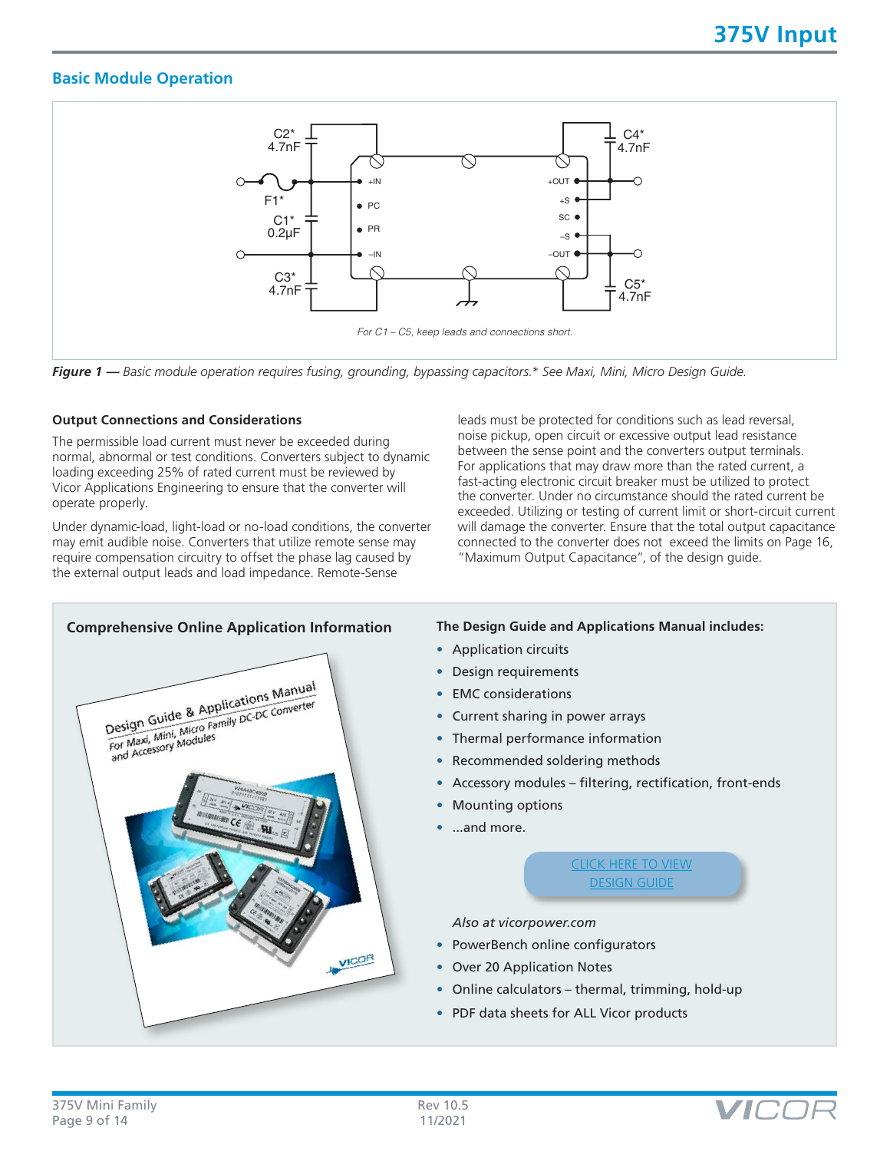## **Basic Module Operation**



*Figure 1 — Basic module operation requires fusing, grounding, bypassing capacitors.\* See Maxi, Mini, Micro Design Guide.*

#### **Output Connections and Considerations**

The permissible load current must never be exceeded during normal, abnormal or test conditions. Converters subject to dynamic loading exceeding 25% of rated current must be reviewed by Vicor Applications Engineering to ensure that the converter will operate properly.

Under dynamic-load, light-load or no-load conditions, the converter may emit audible noise. Converters that utilize remote sense may require compensation circuitry to offset the phase lag caused by the external output leads and load impedance. Remote-Sense

leads must be protected for conditions such as lead reversal, noise pickup, open circuit or excessive output lead resistance between the sense point and the converters output terminals. For applications that may draw more than the rated current, a fast-acting electronic circuit breaker must be utilized to protect the converter. Under no circumstance should the rated current be exceeded. Utilizing or testing of current limit or short-circuit current will damage the converter. Ensure that the total output capacitance connected to the converter does not exceed the limits on Page 16, "Maximum Output Capacitance", of the design guide.



- Application circuits
- Design requirements
- EMC considerations
- Current sharing in power arrays
- Thermal performance information
- Recommended soldering methods
- Accessory modules filtering, rectification, front-ends
- **Mounting options**
- ...and more.

[CLICK HERE TO VIEW](http://www.vicorpower.com/documents/applications_manual/fas_trak_apps_manual.pdf) [DESIGN GUIDE](http://www.vicorpower.com/documents/applications_manual/fas_trak_apps_manual.pdf)

*Also at vicorpower.com*

- PowerBench online configurators
- Over 20 Application Notes
- Online calculators thermal, trimming, hold-up
- PDF data sheets for ALL Vicor products

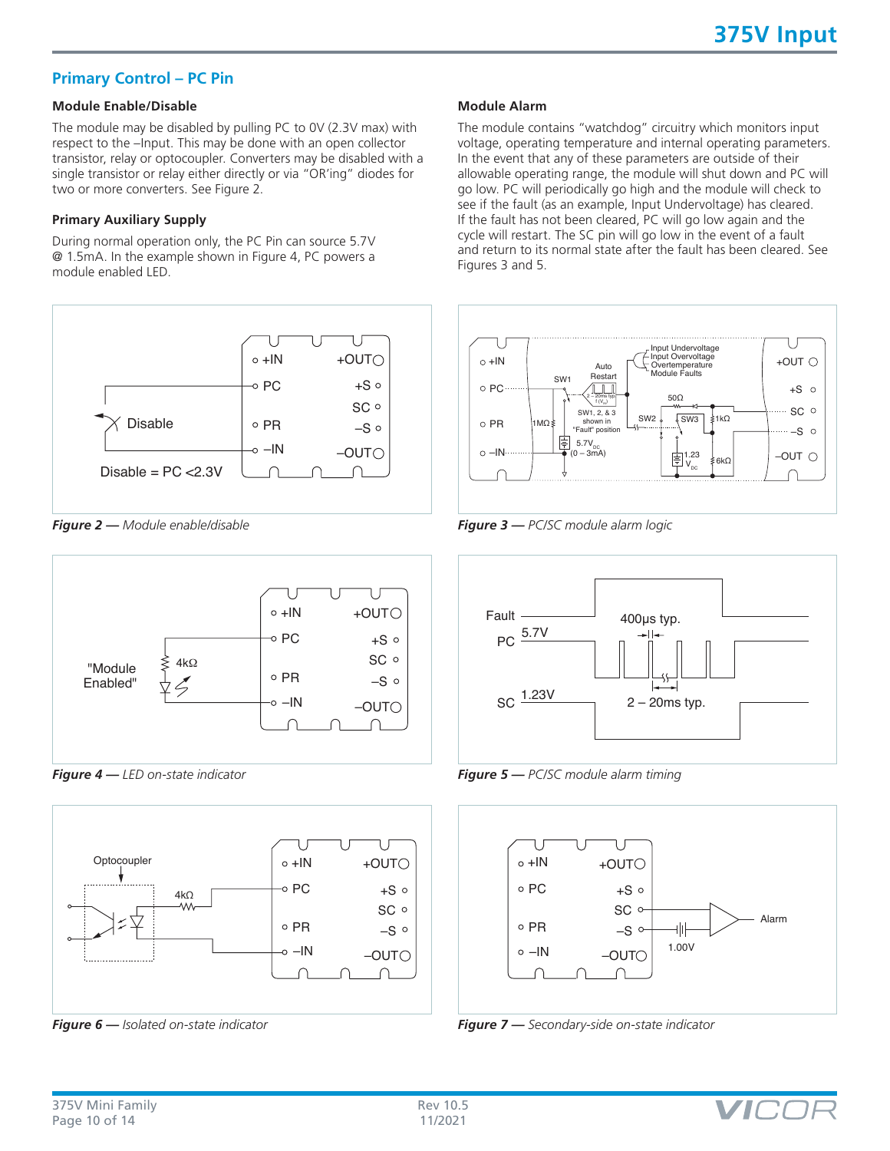## **Primary Control – PC Pin**

## **Module Enable/Disable**

The module may be disabled by pulling PC to 0V (2.3V max) with respect to the –Input. This may be done with an open collector transistor, relay or optocoupler. Converters may be disabled with a single transistor or relay either directly or via "OR'ing" diodes for two or more converters. See Figure 2.

#### **Primary Auxiliary Supply**

During normal operation only, the PC Pin can source 5.7V @ 1.5mA. In the example shown in Figure 4, PC powers a module enabled LED.



*Figure 2 — Module enable/disable*



*Figure 4 — LED on-state indicator*



*Figure 6 — Isolated on-state indicator*

#### **Module Alarm**

The module contains "watchdog" circuitry which monitors input voltage, operating temperature and internal operating parameters. In the event that any of these parameters are outside of their allowable operating range, the module will shut down and PC will go low. PC will periodically go high and the module will check to see if the fault (as an example, Input Undervoltage) has cleared. If the fault has not been cleared, PC will go low again and the cycle will restart. The SC pin will go low in the event of a fault and return to its normal state after the fault has been cleared. See Figures 3 and 5.



*Figure 3 — PC/SC module alarm logic*



*Figure 5 — PC/SC module alarm timing*



*Figure 7 — Secondary-side on-state indicator*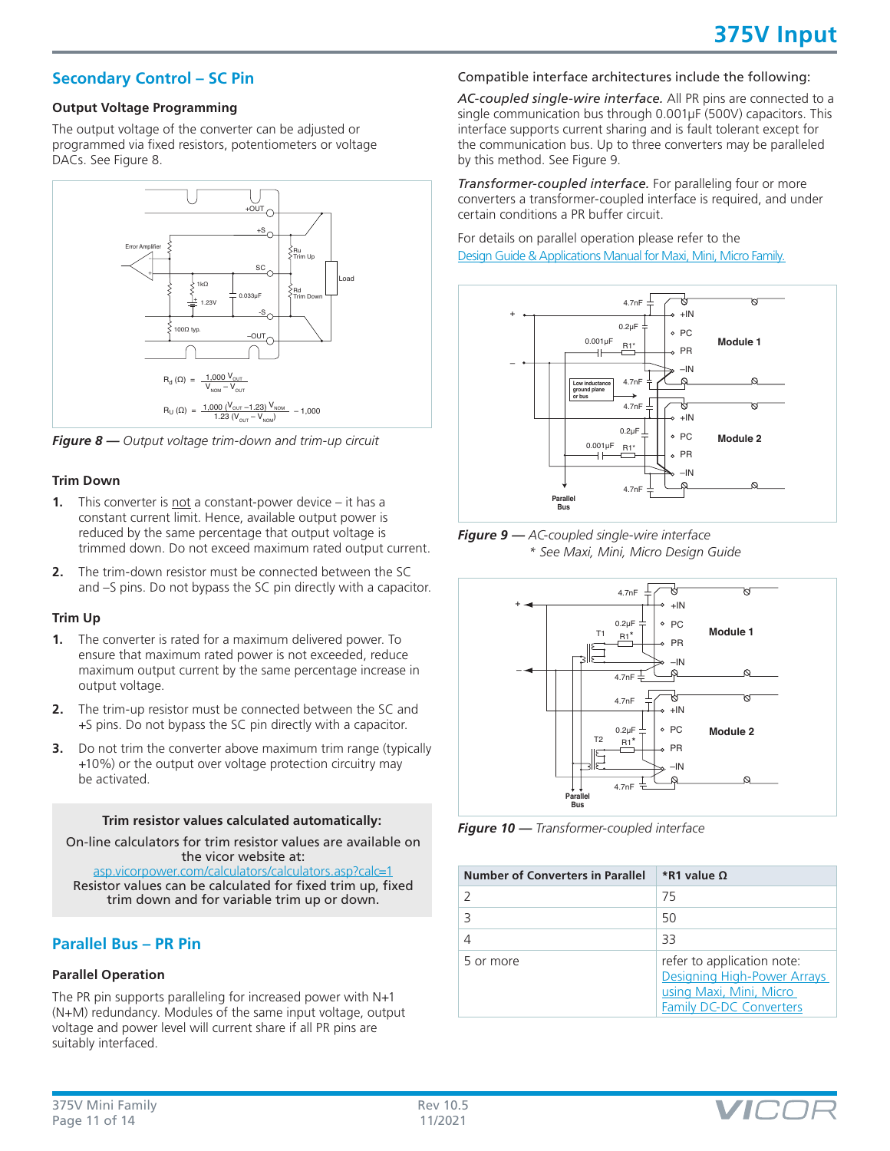## **Secondary Control – SC Pin**

#### **Output Voltage Programming**

The output voltage of the converter can be adjusted or programmed via fixed resistors, potentiometers or voltage DACs. See Figure 8.



*Figure 8 — Output voltage trim-down and trim-up circuit*

#### **Trim Down**

- **1.** This converter is not a constant-power device it has a constant current limit. Hence, available output power is reduced by the same percentage that output voltage is trimmed down. Do not exceed maximum rated output current.
- **2.** The trim-down resistor must be connected between the SC and –S pins. Do not bypass the SC pin directly with a capacitor.

#### **Trim Up**

- **1.** The converter is rated for a maximum delivered power. To ensure that maximum rated power is not exceeded, reduce maximum output current by the same percentage increase in output voltage.
- **2.** The trim-up resistor must be connected between the SC and +S pins. Do not bypass the SC pin directly with a capacitor.
- **3.** Do not trim the converter above maximum trim range (typically +10%) or the output over voltage protection circuitry may be activated.

#### **Trim resistor values calculated automatically:**

On-line calculators for trim resistor values are available on the vicor website at: [asp.vicorpower.com/calculators/calculators.asp?calc=1](http://asp.vicorpower.com/calculators/calculators.asp?calc=1)

Resistor values can be calculated for fixed trim up, fixed trim down and for variable trim up or down.

## **Parallel Bus – PR Pin**

## **Parallel Operation**

The PR pin supports paralleling for increased power with N+1 (N+M) redundancy. Modules of the same input voltage, output voltage and power level will current share if all PR pins are suitably interfaced.

## Compatible interface architectures include the following:

*AC-coupled single-wire interface.* All PR pins are connected to a single communication bus through 0.001µF (500V) capacitors. This interface supports current sharing and is fault tolerant except for the communication bus. Up to three converters may be paralleled by this method. See Figure 9.

*Transformer-coupled interface.* For paralleling four or more converters a transformer-coupled interface is required, and under certain conditions a PR buffer circuit.

For details on parallel operation please refer to the [Design Guide & Applications Manual for Maxi, Mini, Micro Family.](http://www.vicorpower.com/documents/applications_manual/fas_trak_apps_manual.pdf)



*Figure 9 — AC-coupled single-wire interface \* See Maxi, Mini, Micro Design Guide*



*Figure 10 — Transformer-coupled interface*

| <b>Number of Converters in Parallel</b> | <i>*R</i> 1 value Ω                                                                                             |
|-----------------------------------------|-----------------------------------------------------------------------------------------------------------------|
|                                         | 75                                                                                                              |
|                                         | 50                                                                                                              |
|                                         | 33                                                                                                              |
| 5 or more                               | refer to application note:<br>Designing High-Power Arrays<br>using Maxi, Mini, Micro<br>Family DC-DC Converters |

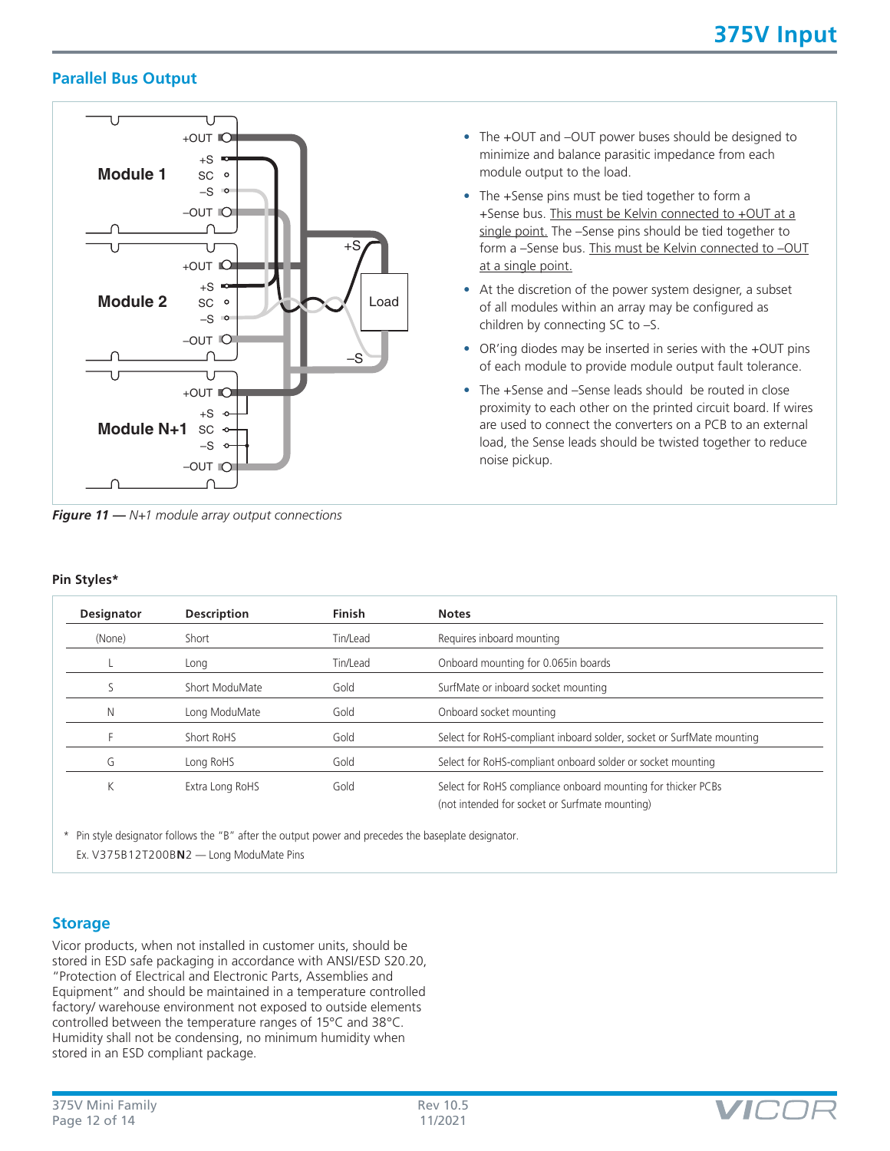## **Parallel Bus Output**



*Figure 11 — N+1 module array output connections*

- The +OUT and –OUT power buses should be designed to minimize and balance parasitic impedance from each module output to the load.
- The +Sense pins must be tied together to form a +Sense bus. This must be Kelvin connected to +OUT at a single point. The –Sense pins should be tied together to form a -Sense bus. This must be Kelvin connected to -OUT at a single point.
- At the discretion of the power system designer, a subset of all modules within an array may be configured as children by connecting SC to –S.
- OR'ing diodes may be inserted in series with the +OUT pins of each module to provide module output fault tolerance.
- The +Sense and –Sense leads should be routed in close proximity to each other on the printed circuit board. If wires are used to connect the converters on a PCB to an external load, the Sense leads should be twisted together to reduce noise pickup.

| Pin Styles* |
|-------------|
|             |

| <b>Designator</b> | <b>Description</b> | <b>Finish</b> | <b>Notes</b>                                                                                                   |
|-------------------|--------------------|---------------|----------------------------------------------------------------------------------------------------------------|
| (None)            | Short              | Tin/Lead      | Requires inboard mounting                                                                                      |
|                   | Long               | Tin/Lead      | Onboard mounting for 0.065in boards                                                                            |
|                   | Short ModuMate     | Gold          | SurfMate or inboard socket mounting                                                                            |
| N                 | Long ModuMate      | Gold          | Onboard socket mounting                                                                                        |
|                   | Short RoHS         | Gold          | Select for RoHS-compliant inboard solder, socket or SurfMate mounting                                          |
| G                 | Long RoHS          | Gold          | Select for RoHS-compliant onboard solder or socket mounting                                                    |
| Κ                 | Extra Long RoHS    | Gold          | Select for RoHS compliance onboard mounting for thicker PCBs<br>(not intended for socket or Surfmate mounting) |

\* Pin style designator follows the "B" after the output power and precedes the baseplate designator. Ex. V375B12T200B**N**2 — Long ModuMate Pins

## **Storage**

Vicor products, when not installed in customer units, should be stored in ESD safe packaging in accordance with ANSI/ESD S20.20, "Protection of Electrical and Electronic Parts, Assemblies and Equipment" and should be maintained in a temperature controlled factory/ warehouse environment not exposed to outside elements controlled between the temperature ranges of 15°C and 38°C. Humidity shall not be condensing, no minimum humidity when stored in an ESD compliant package.

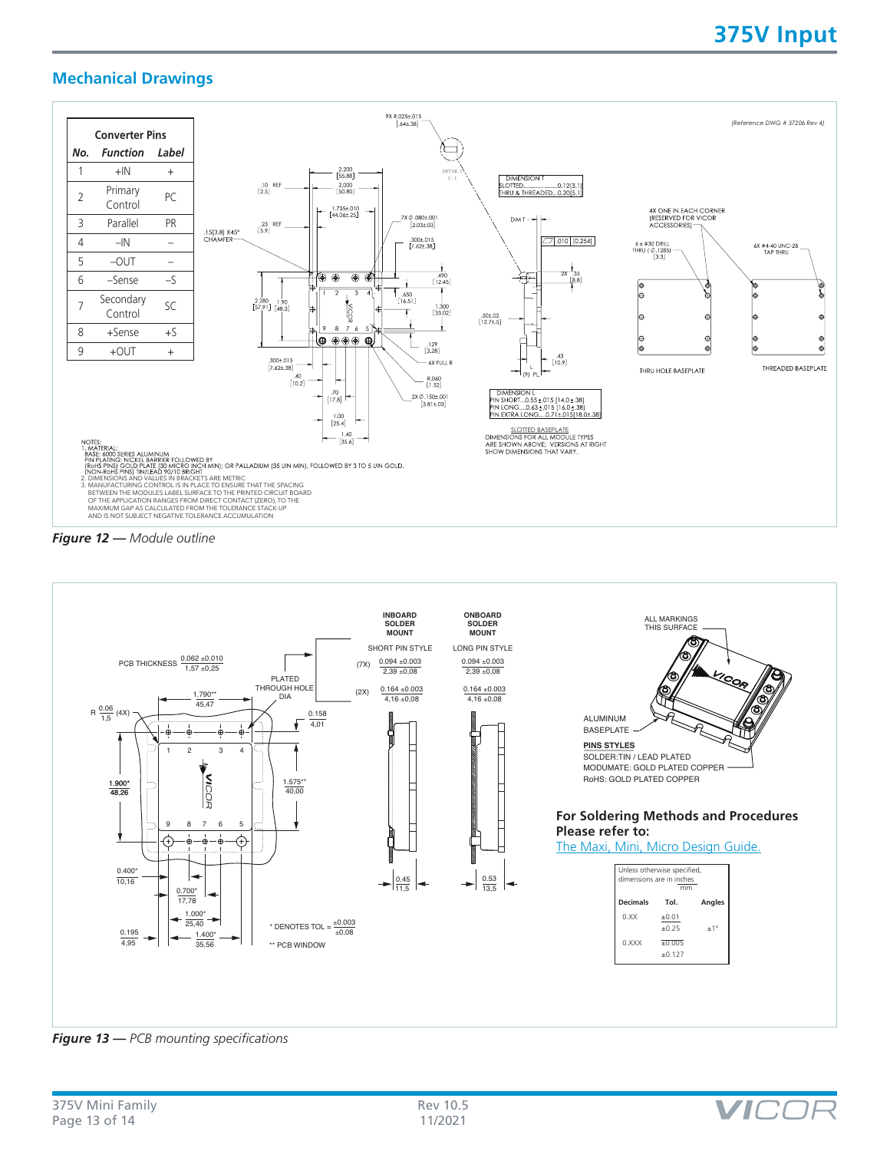## **Mechanical Drawings**







*Figure 13 — PCB mounting specifications*

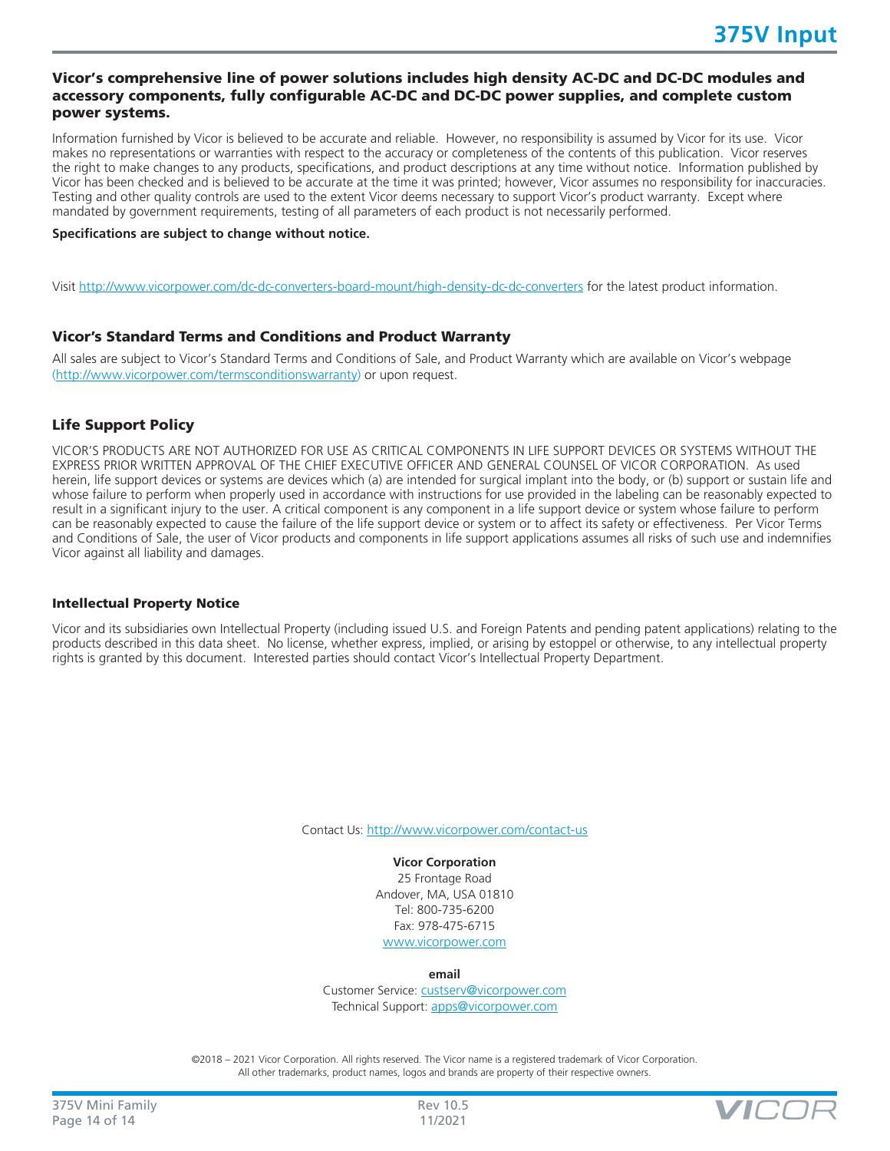## Vicor's comprehensive line of power solutions includes high density AC-DC and DC-DC modules and accessory components, fully configurable AC-DC and DC-DC power supplies, and complete custom power systems.

Information furnished by Vicor is believed to be accurate and reliable. However, no responsibility is assumed by Vicor for its use. Vicor makes no representations or warranties with respect to the accuracy or completeness of the contents of this publication. Vicor reserves the right to make changes to any products, specifications, and product descriptions at any time without notice. Information published by Vicor has been checked and is believed to be accurate at the time it was printed; however, Vicor assumes no responsibility for inaccuracies. Testing and other quality controls are used to the extent Vicor deems necessary to support Vicor's product warranty. Except where mandated by government requirements, testing of all parameters of each product is not necessarily performed.

#### **Specifications are subject to change without notice.**

Visit<http://www.vicorpower.com/dc-dc-converters-board-mount/high-density-dc-dc-converters> for the latest product information.

#### Vicor's Standard Terms and Conditions and Product Warranty

All sales are subject to Vicor's Standard Terms and Conditions of Sale, and Product Warranty which are available on Vicor's webpage ([http://www.vicorpower.com/termsconditionswarranty\)](http://www.vicorpower.com/termsconditions) or upon request.

## Life Support Policy

VICOR'S PRODUCTS ARE NOT AUTHORIZED FOR USE AS CRITICAL COMPONENTS IN LIFE SUPPORT DEVICES OR SYSTEMS WITHOUT THE EXPRESS PRIOR WRITTEN APPROVAL OF THE CHIEF EXECUTIVE OFFICER AND GENERAL COUNSEL OF VICOR CORPORATION. As used herein, life support devices or systems are devices which (a) are intended for surgical implant into the body, or (b) support or sustain life and whose failure to perform when properly used in accordance with instructions for use provided in the labeling can be reasonably expected to result in a significant injury to the user. A critical component is any component in a life support device or system whose failure to perform can be reasonably expected to cause the failure of the life support device or system or to affect its safety or effectiveness. Per Vicor Terms and Conditions of Sale, the user of Vicor products and components in life support applications assumes all risks of such use and indemnifies Vicor against all liability and damages.

#### Intellectual Property Notice

Vicor and its subsidiaries own Intellectual Property (including issued U.S. and Foreign Patents and pending patent applications) relating to the products described in this data sheet. No license, whether express, implied, or arising by estoppel or otherwise, to any intellectual property rights is granted by this document. Interested parties should contact Vicor's Intellectual Property Department.

Contact Us: <http://www.vicorpower.com/contact-us>

**Vicor Corporation** 25 Frontage Road Andover, MA, USA 01810 Tel: 800-735-6200 Fax: 978-475-6715 [www.vicorpower.com](http://www.vicorpower.com)

**email**

Customer Service: [custserv@vicorpower.com](mailto:%20custserv%40vicorpower.com?subject=) Technical Support: [apps@vicorpower.com](mailto:apps%40vicorpower.com?subject=)

©2018 – 2021 Vicor Corporation. All rights reserved. The Vicor name is a registered trademark of Vicor Corporation. All other trademarks, product names, logos and brands are property of their respective owners.